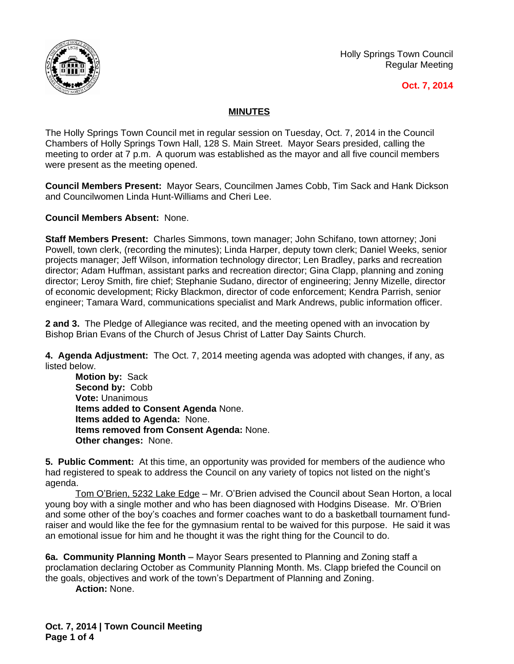

Holly Springs Town Council Regular Meeting

## **Oct. 7, 2014**

## **MINUTES**

The Holly Springs Town Council met in regular session on Tuesday, Oct. 7, 2014 in the Council Chambers of Holly Springs Town Hall, 128 S. Main Street. Mayor Sears presided, calling the meeting to order at 7 p.m. A quorum was established as the mayor and all five council members were present as the meeting opened.

**Council Members Present:** Mayor Sears, Councilmen James Cobb, Tim Sack and Hank Dickson and Councilwomen Linda Hunt-Williams and Cheri Lee.

**Council Members Absent:** None.

**Staff Members Present:** Charles Simmons, town manager; John Schifano, town attorney; Joni Powell, town clerk, (recording the minutes); Linda Harper, deputy town clerk; Daniel Weeks, senior projects manager; Jeff Wilson, information technology director; Len Bradley, parks and recreation director; Adam Huffman, assistant parks and recreation director; Gina Clapp, planning and zoning director; Leroy Smith, fire chief; Stephanie Sudano, director of engineering; Jenny Mizelle, director of economic development; Ricky Blackmon, director of code enforcement; Kendra Parrish, senior engineer; Tamara Ward, communications specialist and Mark Andrews, public information officer.

**2 and 3.** The Pledge of Allegiance was recited, and the meeting opened with an invocation by Bishop Brian Evans of the Church of Jesus Christ of Latter Day Saints Church.

**4. Agenda Adjustment:** The Oct. 7, 2014 meeting agenda was adopted with changes, if any, as listed below.

**Motion by:** Sack **Second by:** Cobb **Vote:** Unanimous **Items added to Consent Agenda** None. **Items added to Agenda:** None. **Items removed from Consent Agenda:** None. **Other changes:** None.

**5. Public Comment:** At this time, an opportunity was provided for members of the audience who had registered to speak to address the Council on any variety of topics not listed on the night's agenda.

Tom O'Brien, 5232 Lake Edge - Mr. O'Brien advised the Council about Sean Horton, a local young boy with a single mother and who has been diagnosed with Hodgins Disease. Mr. O'Brien and some other of the boy's coaches and former coaches want to do a basketball tournament fundraiser and would like the fee for the gymnasium rental to be waived for this purpose. He said it was an emotional issue for him and he thought it was the right thing for the Council to do.

**6a. Community Planning Month –** Mayor Sears presented to Planning and Zoning staff a proclamation declaring October as Community Planning Month. Ms. Clapp briefed the Council on the goals, objectives and work of the town's Department of Planning and Zoning.

**Action:** None.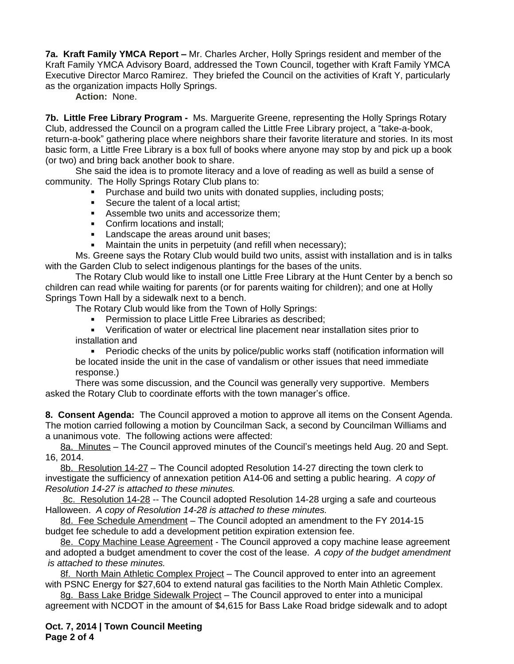**7a. Kraft Family YMCA Report –** Mr. Charles Archer, Holly Springs resident and member of the Kraft Family YMCA Advisory Board, addressed the Town Council, together with Kraft Family YMCA Executive Director Marco Ramirez. They briefed the Council on the activities of Kraft Y, particularly as the organization impacts Holly Springs.

**Action:** None.

**7b. Little Free Library Program -** Ms. Marguerite Greene, representing the Holly Springs Rotary Club, addressed the Council on a program called the Little Free Library project, a "take-a-book, return-a-book" gathering place where neighbors share their favorite literature and stories. In its most basic form, a Little Free Library is a box full of books where anyone may stop by and pick up a book (or two) and bring back another book to share.

She said the idea is to promote literacy and a love of reading as well as build a sense of community. The Holly Springs Rotary Club plans to:

- **Purchase and build two units with donated supplies, including posts;**
- Secure the talent of a local artist;
- Assemble two units and accessorize them:
- Confirm locations and install:
- **Landscape the areas around unit bases;**
- **Maintain the units in perpetuity (and refill when necessary);**

Ms. Greene says the Rotary Club would build two units, assist with installation and is in talks with the Garden Club to select indigenous plantings for the bases of the units.

The Rotary Club would like to install one Little Free Library at the Hunt Center by a bench so children can read while waiting for parents (or for parents waiting for children); and one at Holly Springs Town Hall by a sidewalk next to a bench.

The Rotary Club would like from the Town of Holly Springs:

**Permission to place Little Free Libraries as described;** 

 Verification of water or electrical line placement near installation sites prior to installation and

 Periodic checks of the units by police/public works staff (notification information will be located inside the unit in the case of vandalism or other issues that need immediate response.)

There was some discussion, and the Council was generally very supportive. Members asked the Rotary Club to coordinate efforts with the town manager's office.

**8. Consent Agenda:** The Council approved a motion to approve all items on the Consent Agenda. The motion carried following a motion by Councilman Sack, a second by Councilman Williams and a unanimous vote. The following actions were affected:

8a. Minutes – The Council approved minutes of the Council's meetings held Aug. 20 and Sept. 16, 2014.

8b. Resolution 14-27 – The Council adopted Resolution 14-27 directing the town clerk to investigate the sufficiency of annexation petition A14-06 and setting a public hearing. *A copy of Resolution 14-27 is attached to these minutes.*

8c. Resolution 14-28 -- The Council adopted Resolution 14-28 urging a safe and courteous Halloween. *A copy of Resolution 14-28 is attached to these minutes.*

8d. Fee Schedule Amendment - The Council adopted an amendment to the FY 2014-15 budget fee schedule to add a development petition expiration extension fee.

8e. Copy Machine Lease Agreement - The Council approved a copy machine lease agreement and adopted a budget amendment to cover the cost of the lease. *A copy of the budget amendment is attached to these minutes.*

8f. North Main Athletic Complex Project – The Council approved to enter into an agreement with PSNC Energy for \$27,604 to extend natural gas facilities to the North Main Athletic Complex.

8g. Bass Lake Bridge Sidewalk Project - The Council approved to enter into a municipal agreement with NCDOT in the amount of \$4,615 for Bass Lake Road bridge sidewalk and to adopt

**Oct. 7, 2014 | Town Council Meeting Page 2 of 4**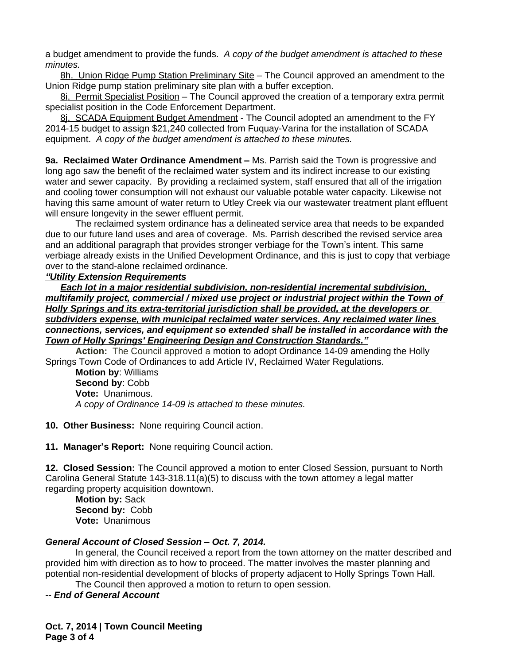a budget amendment to provide the funds. *A copy of the budget amendment is attached to these minutes.*

8h. Union Ridge Pump Station Preliminary Site - The Council approved an amendment to the Union Ridge pump station preliminary site plan with a buffer exception.

8i. Permit Specialist Position – The Council approved the creation of a temporary extra permit specialist position in the Code Enforcement Department.

8j. SCADA Equipment Budget Amendment - The Council adopted an amendment to the FY 2014-15 budget to assign \$21,240 collected from Fuquay-Varina for the installation of SCADA equipment. *A copy of the budget amendment is attached to these minutes.*

**9a. Reclaimed Water Ordinance Amendment –** Ms. Parrish said the Town is progressive and long ago saw the benefit of the reclaimed water system and its indirect increase to our existing water and sewer capacity. By providing a reclaimed system, staff ensured that all of the irrigation and cooling tower consumption will not exhaust our valuable potable water capacity. Likewise not having this same amount of water return to Utley Creek via our wastewater treatment plant effluent will ensure longevity in the sewer effluent permit.

The reclaimed system ordinance has a delineated service area that needs to be expanded due to our future land uses and area of coverage. Ms. Parrish described the revised service area and an additional paragraph that provides stronger verbiage for the Town's intent. This same verbiage already exists in the Unified Development Ordinance, and this is just to copy that verbiage over to the stand-alone reclaimed ordinance.

## *"Utility Extension Requirements*

*Each lot in a major residential subdivision, non-residential incremental subdivision, multifamily project, commercial / mixed use project or industrial project within the Town of Holly Springs and its extra-territorial jurisdiction shall be provided, at the developers or subdividers expense, with municipal reclaimed water services. Any reclaimed water lines connections, services, and equipment so extended shall be installed in accordance with the Town of Holly Springs' Engineering Design and Construction Standards."*

**Action:** The Council approved a motion to adopt Ordinance 14-09 amending the Holly Springs Town Code of Ordinances to add Article IV, Reclaimed Water Regulations.

**Motion by**: Williams **Second by**: Cobb **Vote:** Unanimous. *A copy of Ordinance 14-09 is attached to these minutes.*

**10. Other Business:** None requiring Council action.

**11. Manager's Report:** None requiring Council action.

**12. Closed Session:** The Council approved a motion to enter Closed Session, pursuant to North Carolina General Statute 143-318.11(a)(5) to discuss with the town attorney a legal matter regarding property acquisition downtown.

**Motion by:** Sack **Second by:** Cobb **Vote:** Unanimous

## *General Account of Closed Session – Oct. 7, 2014.*

In general, the Council received a report from the town attorney on the matter described and provided him with direction as to how to proceed. The matter involves the master planning and potential non-residential development of blocks of property adjacent to Holly Springs Town Hall.

The Council then approved a motion to return to open session.

*-- End of General Account*